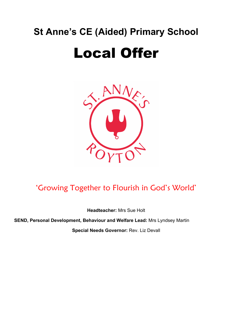## **St Anne's CE (Aided) Primary School**

# Local Offer



### 'Growing Together to Flourish in God's World'

**Headteacher:** Mrs Sue Holt

**SEND, Personal Development, Behaviour and Welfare Lead:** Mrs Lyndsey Martin

**Special Needs Governor:** Rev. Liz Devall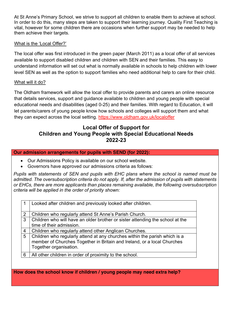At St Anne's Primary School, we strive to support all children to enable them to achieve at school. In order to do this, many steps are taken to support their learning journey. Quality First Teaching is vital, however for some children there are occasions when further support may be needed to help them achieve their targets.

#### What is the 'Local Offer?'

The local offer was first introduced in the green paper (March 2011) as a local offer of all services available to support disabled children and children with SEN and their families. This easy to understand information will set out what is normally available in schools to help children with lower level SEN as well as the option to support families who need additional help to care for their child.

#### What will it do?

The Oldham framework will allow the local offer to provide parents and carers an online resource that details services, support and guidance available to children and young people with special educational needs and disabilities (aged 0-25) and their families. With regard to Education, it will let parents/carers of young people know how schools and colleges will support them and what they can expect across the local setting. https://www.oldham.gov.uk/localoffer

#### **Local Offer of Support for Children and Young People with Special Educational Needs 2022-23**

#### **Our admission arrangements for pupils with SEND (for 2022):**

- Our Admissions Policy is available on our school website.
- Governors have approved our admissions criteria as follows:

*Pupils with statements of SEN and pupils with EHC plans where the school is named must be admitted. The oversubscription criteria do not apply. If, after the admission of pupils with statements or EHCs, there are more applicants than places remaining available, the following oversubscription criteria will be applied in the order of priority shown:*

| Looked after children and previously looked after children.                   |
|-------------------------------------------------------------------------------|
|                                                                               |
| Children who regularly attend St Anne's Parish Church.                        |
| Children who will have an older brother or sister attending the school at the |
| time of their admission.                                                      |
| Children who regularly attend other Anglican Churches.                        |
| Children who regularly attend at any churches within the parish which is a    |
| member of Churches Together in Britain and Ireland, or a local Churches       |
| Together organisation.                                                        |
|                                                                               |
| All other children in order of proximity to the school.                       |
|                                                                               |

**How does the school know if children / young people may need extra help?**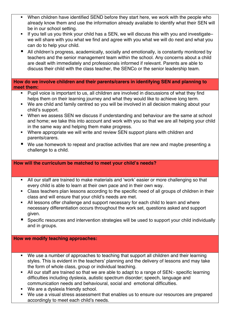- When children have identified SEND before they start here, we work with the people who already know them and use the information already available to identify what their SEN will be in our school setting.
- If you tell us you think your child has a SEN, we will discuss this with you and investigate– we will share with you what we find and agree with you what we will do next and what you can do to help your child.
- All children's progress, academically, socially and emotionally, is constantly monitored by teachers and the senior management team within the school. Any concerns about a child are dealt with immediately and professionals informed if relevant. Parents are able to discuss their child with the class teacher, the SENCo or the senior leadership team.

#### **How do we involve children and their parents/carers in identifying SEN and planning to meet them:**

- Pupil voice is important to us, all children are involved in discussions of what they find helps them on their learning journey and what they would like to achieve long term.
- We are child and family centred so you will be involved in all decision making about your child's support.
- When we assess SEN we discuss if understanding and behaviour are the same at school and home; we take this into account and work with you so that we are all helping your child in the same way and helping them make progress.
- Where appropriate we will write and review SEN support plans with children and parents/carers.
- We use homework to repeat and practise activities that are new and maybe presenting a challenge to a child.

#### **How will the curriculum be matched to meet your child's needs?**

- **All our staff are trained to make materials and 'work' easier or more challenging so that** every child is able to learn at their own pace and in their own way.
- Class teachers plan lessons according to the specific need of all groups of children in their class and will ensure that your child's needs are met.
- **EXT** All lessons offer challenge and support necessary for each child to learn and where necessary differentiation occurs throughout the work set, questions asked and support given.
- Specific resources and intervention strategies will be used to support your child individually and in groups.

#### **How we modify teaching approaches:**

- We use a number of approaches to teaching that support all children and their learning styles. This is evident in the teachers' planning and the delivery of lessons and may take the form of whole class, group or individual teaching.
- All our staff are trained so that we are able to adapt to a range of SEN:- specific learning difficulties including dyslexia, autistic spectrum disorder; speech, language and communication needs and behavioural, social and emotional difficulties.
- We are a dyslexia friendly school.
- We use a visual stress assessment that enables us to ensure our resources are prepared accordingly to meet each child's needs.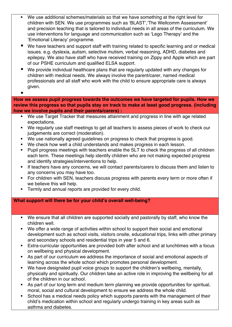- We use additional schemes/materials so that we have something at the right level for children with SEN. We use programmes such as 'BLAST','The Wellcomm Assessment' and precision teaching that is tailored to individual needs in all areas of the curriculum. We use interventions for language and communication such as 'Lego Therapy' and the 'Emotional Literacy' programme.
- We have teachers and support staff with training related to specific learning and or medical issues. e.g. dyslexia, autism, selective mutism, verbal reasoning, ADHD, diabetes and epilepsy. We also have staff who have received training on Zippy and Apple which are part of our PSHE curriculum and qualified ELSA support.
- We provide individual healthcare plans that are regularly updated with any changes for children with medical needs. We always involve the parent/carer, named medical professionals and all staff who work with the child to ensure appropriate care is always given.
- §

**How we assess pupil progress towards the outcomes we have targeted for pupils. How we review this progress so that pupils stay on track to make at least good progress. (including how we involve pupils and their parents/carers) :**

- We use Target Tracker that measures attainment and progress in line with age related expectations.
- We regularly use staff meetings to get all teachers to assess pieces of work to check our judgements are correct (moderation).
- We use nationally agreed guidelines on progress to check that progress is good.
- We check how well a child understands and makes progress in each lesson.
- Pupil progress meetings with teachers enable the SLT to check the progress of all children each term. These meetings help identify children who are not making expected progress and identify strategies/interventions to help.
- If teachers have any concerns, we will contact parents/carers to discuss them and listen to any concerns you may have too.
- For children with SEN, teachers discuss progress with parents every term or more often if we believe this will help.
- Termly and annual reports are provided for every child.

#### **What support will there be for your child's overall well-being?**

- We ensure that all children are supported socially and pastorally by staff, who know the children well.
- We offer a wide range of activities within school to support their social and emotional development such as school visits, visitors onsite, educational trips, links with other primary and secondary schools and residential trips in year 5 and 6.
- Extra-curricular opportunities are provided both after school and at lunchtimes with a focus on wellbeing and physical development.
- As part of our curriculum we address the importance of social and emotional aspects of learning across the whole school which promotes personal development.
- We have designated pupil voice groups to support the children's wellbeing, mentally, physically and spiritually. Our children take an active role in improving the wellbeing for all of the children in our school.
- As part of our long term and medium term planning we provide opportunities for spiritual, moral, social and cultural development to ensure we address the whole child.
- School has a medical needs policy which supports parents with the management of their child's medication within school and regularly undergo training in key areas such as asthma and diabetes.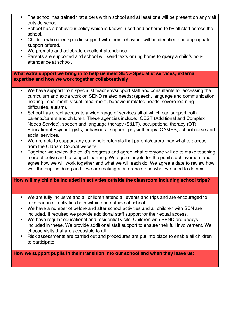- The school has trained first aiders within school and at least one will be present on any visit outside school.
- School has a behaviour policy which is known, used and adhered to by all staff across the school.
- Children who need specific support with their behaviour will be identified and appropriate support offered.
- We promote and celebrate excellent attendance.
- § Parents are supported and school will send texts or ring home to query a child's nonattendance at school.

**What extra support we bring in to help us meet SEN:- Specialist services; external expertise and how we work together collaboratively:**

- We have support from specialist teachers/support staff and consultants for accessing the curriculum and extra work on SEND related needs: (speech, language and communication, hearing impairment, visual impairment, behaviour related needs, severe learning difficulties, autism).
- School has direct access to a wide range of services all of which can support both parents/carers and children. These agencies include: QEST (Additional and Complex Needs Service), speech and language therapy (S&LT), occupational therapy (OT), Educational Psychologists, behavioural support, physiotherapy, CAMHS, school nurse and social services.
- We are able to support any early help referrals that parents/carers may what to access from the Oldham Council website.
- § Together we review the child's progress and agree what everyone will do to make teaching more effective and to support learning. We agree targets for the pupil's achievement and agree how we will work together and what we will each do. We agree a date to review how well the pupil is doing and if we are making a difference, and what we need to do next.

#### **How will my child be included in activities outside the classroom including school trips?**

- We are fully inclusive and all children attend all events and trips and are encouraged to take part in all activities both within and outside of school.
- We have a number of before and after school activities and all children with SEN are included. If required we provide additional staff support for their equal access.
- We have regular educational and residential visits. Children with SEND are always included in these. We provide additional staff support to ensure their full involvement. We choose visits that are accessible to all.
- Risk assessments are carried out and procedures are put into place to enable all children to participate.

**How we support pupils in their transition into our school and when they leave us:**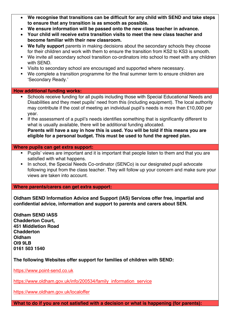| We recognise that transitions can be difficult for any child with SEND and take steps |
|---------------------------------------------------------------------------------------|
| to ensure that any transition is as smooth as possible.                               |

- **We ensure information will be passed onto the new class teacher in advance.**
- **Your child will receive extra transition visits to meet the new class teacher and become familiar with their new classroom.**
- **We fully support** parents in making decisions about the secondary schools they choose for their children and work with them to ensure the transition from KS2 to KS3 is smooth.
- We invite all secondary school transition co-ordinators into school to meet with any children with SEND.
- § Visits to secondary school are encouraged and supported where necessary.
- We complete a transition programme for the final summer term to ensure children are 'Secondary Ready.'

#### **How additional funding works:**

- Schools receive funding for all pupils including those with Special Educational Needs and Disabilities and they meet pupils' need from this (including equipment). The local authority may contribute if the cost of meeting an individual pupil's needs is more than £10,000 per year.
- **•** If the assessment of a pupil's needs identifies something that is significantly different to what is usually available, there will be additional funding allocated. **Parents will have a say in how this is used. You will be told if this means you are eligible for a personal budget. This must be used to fund the agreed plan.**

#### **Where pupils can get extra support:**

- **•** Pupils' views are important and it is important that people listen to them and that you are satisfied with what happens.
- In school, the Special Needs Co-ordinator (SENCo) is our designated pupil advocate following input from the class teacher. They will follow up your concern and make sure your views are taken into account.

**Where parents/carers can get extra support:**

**Oldham SEND Information Advice and Support (IAS) Services offer free, impartial and confidential advice, information and support to parents and carers about SEN.**

**Oldham SEND IASS Chadderton Court, 451 Middletion Road Chadderton Oldham Ol9 9LB 0161 503 1540**

**The following Websites offer support for families of children with SEND:** 

https://www.point-send.co.uk

https://www.oldham.gov.uk/info/200534/family\_information\_service

https://www.oldham.gov.uk/localoffer

**What to do if you are not satisfied with a decision or what is happening (for parents):**